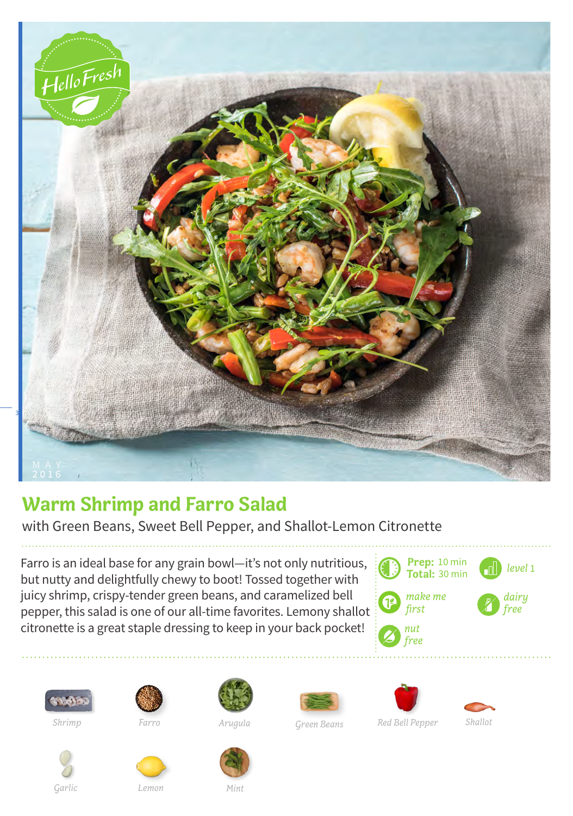

## **Warm Shrimp and Farro Salad**

with Green Beans, Sweet Bell Pepper, and Shallot-Lemon Citronette

Farro is an ideal base for any grain bowl—it's not only nutritious, but nutty and delightfully chewy to boot! Tossed together with juicy shrimp, crispy-tender green beans, and caramelized bell pepper, this salad is one of our all-time favorites. Lemony shallot citronette is a great staple dressing to keep in your back pocket!





*Shrimp Farro Arugula Green Beans* 











*Garlic Lemon Mint*



*Arugula Shallot*